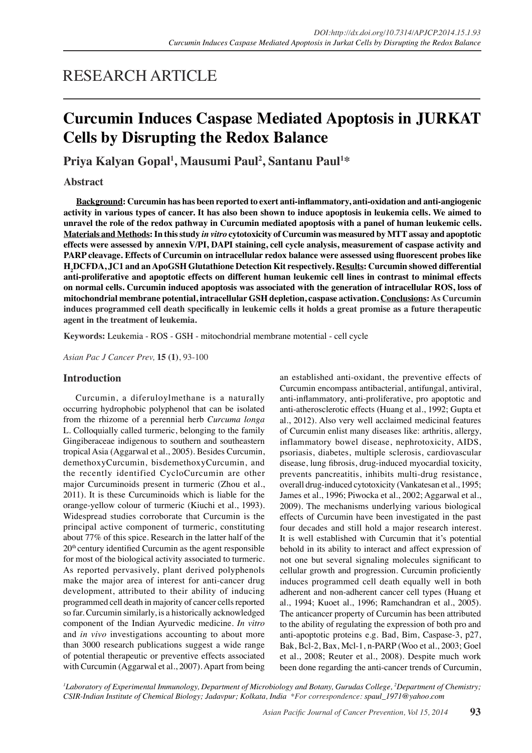# RESEARCH ARTICLE

# **Curcumin Induces Caspase Mediated Apoptosis in JURKAT Cells by Disrupting the Redox Balance**

**Priya Kalyan Gopal<sup>1</sup> , Mausumi Paul<sup>2</sup> , Santanu Paul<sup>1</sup>\***

# **Abstract**

**Background: Curcumin has has been reported to exert anti-inflammatory, anti-oxidation and anti-angiogenic activity in various types of cancer. It has also been shown to induce apoptosis in leukemia cells. We aimed to unravel the role of the redox pathway in Curcumin mediated apoptosis with a panel of human leukemic cells. Materials and Methods: In this study** *in vitro* **cytotoxicity of Curcumin was measured by MTT assay and apoptotic effects were assessed by annexin V/PI, DAPI staining, cell cycle analysis, measurement of caspase activity and PARP cleavage. Effects of Curcumin on intracellular redox balance were assessed using fluorescent probes like H2DCFDA, JC1 and an ApoGSH Glutathione Detection Kit respectively. Results: Curcumin showed differential anti-proliferative and apoptotic effects on different human leukemic cell lines in contrast to minimal effects on normal cells. Curcumin induced apoptosis was associated with the generation of intracellular ROS, loss of mitochondrial membrane potential, intracellular GSH depletion, caspase activation. Conclusions: As Curcumin induces programmed cell death specifically in leukemic cells it holds a great promise as a future therapeutic agent in the treatment of leukemia.**

**Keywords:** Leukemia - ROS - GSH - mitochondrial membrane motential - cell cycle

*Asian Pac J Cancer Prev,* **15 (1)**, 93-100

# **Introduction**

Curcumin, a diferuloylmethane is a naturally occurring hydrophobic polyphenol that can be isolated from the rhizome of a perennial herb *Curcuma longa*  L. Colloquially called turmeric, belonging to the family Gingiberaceae indigenous to southern and southeastern tropical Asia (Aggarwal et al., 2005). Besides Curcumin, demethoxyCurcumin, bisdemethoxyCurcumin, and the recently identified CycloCurcumin are other major Curcuminoids present in turmeric (Zhou et al., 2011). It is these Curcuminoids which is liable for the orange-yellow colour of turmeric (Kiuchi et al., 1993). Widespread studies corroborate that Curcumin is the principal active component of turmeric, constituting about 77% of this spice. Research in the latter half of the  $20<sup>th</sup>$  century identified Curcumin as the agent responsible for most of the biological activity associated to turmeric. As reported pervasively, plant derived polyphenols make the major area of interest for anti-cancer drug development, attributed to their ability of inducing programmed cell death in majority of cancer cells reported so far. Curcumin similarly, is a historically acknowledged component of the Indian Ayurvedic medicine. *In vitro* and *in vivo* investigations accounting to about more than 3000 research publications suggest a wide range of potential therapeutic or preventive effects associated with Curcumin (Aggarwal et al., 2007). Apart from being

an established anti-oxidant, the preventive effects of Curcumin encompass antibacterial, antifungal, antiviral, anti-inflammatory, anti-proliferative, pro apoptotic and anti-atherosclerotic effects (Huang et al., 1992; Gupta et al., 2012). Also very well acclaimed medicinal features of Curcumin enlist many diseases like: arthritis, allergy, inflammatory bowel disease, nephrotoxicity, AIDS, psoriasis, diabetes, multiple sclerosis, cardiovascular disease, lung fibrosis, drug-induced myocardial toxicity, prevents pancreatitis, inhibits multi-drug resistance, overall drug-induced cytotoxicity (Vankatesan et al., 1995; James et al., 1996; Piwocka et al., 2002; Aggarwal et al., 2009). The mechanisms underlying various biological effects of Curcumin have been investigated in the past four decades and still hold a major research interest. It is well established with Curcumin that it's potential behold in its ability to interact and affect expression of not one but several signaling molecules significant to cellular growth and progression. Curcumin proficiently induces programmed cell death equally well in both adherent and non-adherent cancer cell types (Huang et al., 1994; Kuoet al., 1996; Ramchandran et al., 2005). The anticancer property of Curcumin has been attributed to the ability of regulating the expression of both pro and anti-apoptotic proteins e.g. Bad, Bim, Caspase-3, p27, Bak, Bcl-2, Bax, Mcl-1, n-PARP (Woo et al., 2003; Goel et al., 2008; Reuter et al., 2008). Despite much work been done regarding the anti-cancer trends of Curcumin,

<sup>1</sup>*Laboratory of Experimental Immunology, Department of Microbiology and Botany, Gurudas College, <sup>2</sup>Department of Chemistry; CSIR-Indian Institute of Chemical Biology; Jadavpur; Kolkata, India \*For correspondence: spaul\_1971@yahoo.com*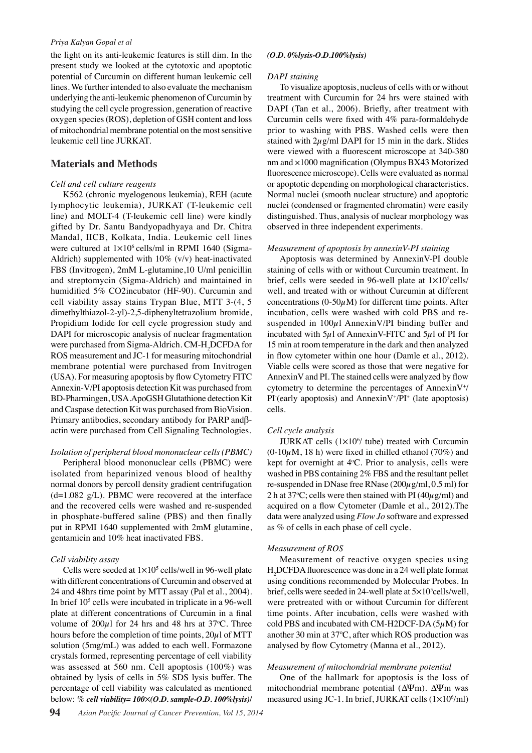the light on its anti-leukemic features is still dim. In the present study we looked at the cytotoxic and apoptotic potential of Curcumin on different human leukemic cell lines. We further intended to also evaluate the mechanism underlying the anti-leukemic phenomenon of Curcumin by studying the cell cycle progression, generation of reactive oxygen species (ROS), depletion of GSH content and loss of mitochondrial membrane potential on the most sensitive leukemic cell line JURKAT.

# **Materials and Methods**

## *Cell and cell culture reagents*

 K562 (chronic myelogenous leukemia), REH (acute lymphocytic leukemia), JURKAT (T-leukemic cell line) and MOLT-4 (T-leukemic cell line) were kindly gifted by Dr. Santu Bandyopadhyaya and Dr. Chitra Mandal, IICB, Kolkata, India. Leukemic cell lines were cultured at  $1\times10^6$  cells/ml in RPMI 1640 (Sigma-Aldrich) supplemented with 10% (v/v) heat-inactivated FBS (Invitrogen), 2mM L-glutamine,10 U/ml penicillin and streptomycin (Sigma-Aldrich) and maintained in humidified 5% CO2incubator (HF-90). Curcumin and cell viability assay stains Trypan Blue, MTT 3-(4, 5 dimethylthiazol-2-yl)-2,5-diphenyltetrazolium bromide, Propidium Iodide for cell cycle progression study and DAPI for microscopic analysis of nuclear fragmentation were purchased from Sigma-Aldrich. CM-H<sub>2</sub>DCFDA for ROS measurement and JC-1 for measuring mitochondrial membrane potential were purchased from Invitrogen (USA). For measuring apoptosis by flow Cytometry FITC Annexin-V/PI apoptosis detection Kit was purchased from BD-Pharmingen, USA.ApoGSH Glutathione detection Kit and Caspase detection Kit was purchased from BioVision. Primary antibodies, secondary antibody for PARP andβactin were purchased from Cell Signaling Technologies.

#### *Isolation of peripheral blood mononuclear cells (PBMC)*

 Peripheral blood mononuclear cells (PBMC) were isolated from heparinized venous blood of healthy normal donors by percoll density gradient centrifugation  $(d=1.082 \text{ g/L})$ . PBMC were recovered at the interface and the recovered cells were washed and re-suspended in phosphate-buffered saline (PBS) and then finally put in RPMI 1640 supplemented with 2mM glutamine, gentamicin and 10% heat inactivated FBS.

#### *Cell viability assay*

Cells were seeded at  $1 \times 10^5$  cells/well in 96-well plate with different concentrations of Curcumin and observed at 24 and 48hrs time point by MTT assay (Pal et al., 2004). In brief 10<sup>5</sup> cells were incubated in triplicate in a 96-well plate at different concentrations of Curcumin in a final volume of  $200\mu$ l for 24 hrs and 48 hrs at 37°C. Three hours before the completion of time points,  $20\mu$ l of MTT solution (5mg/mL) was added to each well. Formazone crystals formed, representing percentage of cell viability was assessed at 560 nm. Cell apoptosis (100%) was obtained by lysis of cells in 5% SDS lysis buffer. The percentage of cell viability was calculated as mentioned below: % *cell viability= 100*5*(O.D. sample-O.D. 100%lysis)/*

#### *(O.D. 0%lysis-O.D.100%lysis)*

#### *DAPI staining*

 To visualize apoptosis, nucleus of cells with or without treatment with Curcumin for 24 hrs were stained with DAPI (Tan et al., 2006). Briefly, after treatment with Curcumin cells were fixed with 4% para-formaldehyde prior to washing with PBS. Washed cells were then stained with  $2\mu$ g/ml DAPI for 15 min in the dark. Slides were viewed with a fluorescent microscope at 340-380 nm and ×1000 magnification (Olympus BX43 Motorized fluorescence microscope). Cells were evaluated as normal or apoptotic depending on morphological characteristics. Normal nuclei (smooth nuclear structure) and apoptotic nuclei (condensed or fragmented chromatin) were easily distinguished. Thus, analysis of nuclear morphology was observed in three independent experiments.

### *Measurement of apoptosis by annexinV-PI staining*

 Apoptosis was determined by AnnexinV-PI double staining of cells with or without Curcumin treatment. In brief, cells were seeded in 96-well plate at  $1\times10^5$ cells/ well, and treated with or without Curcumin at different concentrations ( $0-50\mu$ M) for different time points. After incubation, cells were washed with cold PBS and resuspended in  $100\mu$ l AnnexinV/PI binding buffer and incubated with  $5\mu$ l of AnnexinV-FITC and  $5\mu$ l of PI for 15 min at room temperature in the dark and then analyzed in flow cytometer within one hour (Damle et al., 2012). Viable cells were scored as those that were negative for AnnexinV and PI. The stained cells were analyzed by flow cytometry to determine the percentages of AnnexinV<sup>+</sup>/  $PI$  (early apoptosis) and Annexin V<sup>+</sup>/PI<sup>+</sup> (late apoptosis) cells.

#### *Cell cycle analysis*

JURKAT cells  $(1 \times 10^{6}$  tube) treated with Curcumin  $(0-10\mu M, 18 h)$  were fixed in chilled ethanol (70%) and kept for overnight at  $4^{\circ}$ C. Prior to analysis, cells were washed in PBS containing 2% FBS and the resultant pellet re-suspended in DNase free RNase  $(200\mu g/ml, 0.5 ml)$  for 2 h at 37°C; cells were then stained with PI (40 $\mu$ g/ml) and acquired on a flow Cytometer (Damle et al., 2012).The data were analyzed using *Flow Jo* software and expressed as % of cells in each phase of cell cycle.

#### *Measurement of ROS*

 Measurement of reactive oxygen species using H<sub>2</sub>DCFDA fluorescence was done in a 24 well plate format using conditions recommended by Molecular Probes. In brief, cells were seeded in 24-well plate at 5×10<sup>5</sup>cells/well, were pretreated with or without Curcumin for different time points. After incubation, cells were washed with cold PBS and incubated with CM-H2DCF-DA  $(5\mu M)$  for another 30 min at 37ºC, after which ROS production was analysed by flow Cytometry (Manna et al., 2012).

#### *Measurement of mitochondrial membrane potential*

 One of the hallmark for apoptosis is the loss of mitochondrial membrane potential (∆Ψm). ∆Ψm was measured using JC-1. In brief, JURKAT cells  $(1 \times 10^6$ /ml)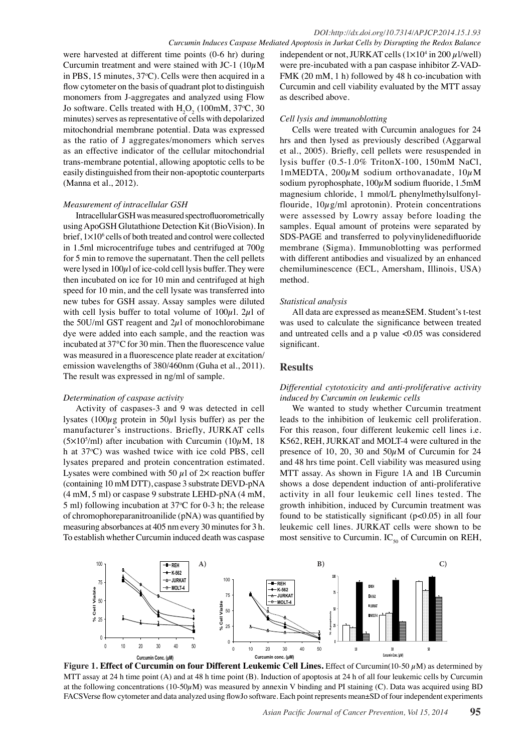were harvested at different time points (0-6 hr) during Curcumin treatment and were stained with JC-1 ( $10\mu$ M in PBS, 15 minutes,  $37^{\circ}$ C). Cells were then acquired in a flow cytometer on the basis of quadrant plot to distinguish monomers from J-aggregates and analyzed using Flow Jo software. Cells treated with  $H_2O_2$  (100mM, 37°C, 30 minutes) serves as representative of cells with depolarized mitochondrial membrane potential. Data was expressed as the ratio of J aggregates/monomers which serves as an effective indicator of the cellular mitochondrial trans-membrane potential, allowing apoptotic cells to be easily distinguished from their non-apoptotic counterparts (Manna et al., 2012).

#### *Measurement of intracellular GSH*

 Intracellular GSH was measured spectrofluorometrically using ApoGSH Glutathione Detection Kit (BioVision). In brief,  $1\times10^6$  cells of both treated and control were collected in 1.5ml microcentrifuge tubes and centrifuged at 700g for 5 min to remove the supernatant. Then the cell pellets were lysed in  $100\mu$ l of ice-cold cell lysis buffer. They were then incubated on ice for 10 min and centrifuged at high speed for 10 min, and the cell lysate was transferred into new tubes for GSH assay. Assay samples were diluted with cell lysis buffer to total volume of  $100\mu$ l.  $2\mu$ l of the 50U/ml GST reagent and  $2\mu$ l of monochlorobimane dye were added into each sample, and the reaction was incubated at 37°C for 30 min. Then the fluorescence value was measured in a fluorescence plate reader at excitation/ emission wavelengths of 380/460nm (Guha et al., 2011). The result was expressed in ng/ml of sample.

#### *Determination of caspase activity*

 Activity of caspases-3 and 9 was detected in cell lysates (100 $\mu$ g protein in 50 $\mu$ l lysis buffer) as per the manufacturer's instructions. Briefly, JURKAT cells  $(5 \times 10^5$ /ml) after incubation with Curcumin (10 $\mu$ M, 18 h at 37<sup>o</sup>C) was washed twice with ice cold PBS, cell lysates prepared and protein concentration estimated. Lysates were combined with 50  $\mu$ l of 2× reaction buffer (containing 10 mM DTT), caspase 3 substrate DEVD-pNA (4 mM, 5 ml) or caspase 9 substrate LEHD-pNA (4 mM, 5 ml) following incubation at  $37^{\circ}$ C for 0-3 h; the release of chromophoreparanitroanilide (pNA) was quantified by measuring absorbances at 405 nm every 30 minutes for 3 h. To establish whether Curcumin induced death was caspase

independent or not, JURKAT cells  $(1 \times 10^4$  in 200  $\mu$ 1/well) were pre-incubated with a pan caspase inhibitor Z-VAD-FMK (20 mM, 1 h) followed by 48 h co-incubation with Curcumin and cell viability evaluated by the MTT assay as described above.

## *Cell lysis and immunoblotting*

 Cells were treated with Curcumin analogues for 24 hrs and then lysed as previously described (Aggarwal et al., 2005). Briefly, cell pellets were resuspended in lysis buffer (0.5-1.0% TritonX-100, 150mM NaCl, 1mMEDTA,  $200\mu$ M sodium orthovanadate,  $10\mu$ M sodium pyrophosphate,  $100\mu$ M sodium fluoride,  $1.5$ mM magnesium chloride, 1 mmol/L phenylmethylsulfonylflouride,  $10\mu$ g/ml aprotonin). Protein concentrations were assessed by Lowry assay before loading the samples. Equal amount of proteins were separated by SDS-PAGE and transferred to polyvinylidenedifluoride membrane (Sigma). Immunoblotting was performed with different antibodies and visualized by an enhanced chemiluminescence (ECL, Amersham, Illinois, USA) method.

## *Statistical analysis*

 All data are expressed as mean±SEM. Student's t-test was used to calculate the significance between treated and untreated cells and a p value  $\langle 0.05 \rangle$  was considered significant.

# **Results**

## *Differential cytotoxicity and anti-proliferative activity induced by Curcumin on leukemic cells*

 We wanted to study whether Curcumin treatment leads to the inhibition of leukemic cell proliferation. For this reason, four different leukemic cell lines i.e. K562, REH, JURKAT and MOLT-4 were cultured in the presence of 10, 20, 30 and  $50\mu$ M of Curcumin for 24 and 48 hrs time point. Cell viability was measured using MTT assay. As shown in Figure 1A and 1B Curcumin shows a dose dependent induction of anti-proliferative activity in all four leukemic cell lines tested. The growth inhibition, induced by Curcumin treatment was found to be statistically significant  $(p<0.05)$  in all four leukemic cell lines. JURKAT cells were shown to be most sensitive to Curcumin.  $IC_{50}$  of Curcumin on REH,



**Figure 1. Effect of Curcumin on four Different Leukemic Cell Lines.** Effect of Curcumin(10-50  $\mu$ M) as determined by MTT assay at 24 h time point (A) and at 48 h time point (B). Induction of apoptosis at 24 h of all four leukemic cells by Curcumin at the following concentrations (10-50 $\mu$ M) was measured by annexin V binding and PI staining (C). Data was acquired using BD FACSVerse flow cytometer and data analyzed using flowJo software. Each point represents mean±SD of four independent experiments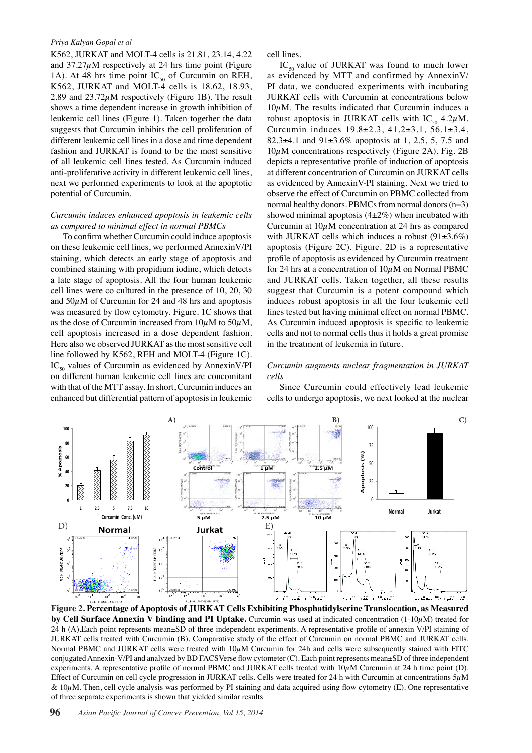K562, JURKAT and MOLT-4 cells is 21.81, 23.14, 4.22 and  $37.27\mu$ M respectively at 24 hrs time point (Figure 1A). At 48 hrs time point  $IC_{50}$  of Curcumin on REH, K562, JURKAT and MOLT-4 cells is 18.62, 18.93, 2.89 and  $23.72 \mu$ M respectively (Figure 1B). The result shows a time dependent increase in growth inhibition of leukemic cell lines (Figure 1). Taken together the data suggests that Curcumin inhibits the cell proliferation of different leukemic cell lines in a dose and time dependent fashion and JURKAT is found to be the most sensitive of all leukemic cell lines tested. As Curcumin induced anti-proliferative activity in different leukemic cell lines, next we performed experiments to look at the apoptotic potential of Curcumin.

#### *Curcumin induces enhanced apoptosis in leukemic cells as compared to minimal effect in normal PBMCs*

 To confirm whether Curcumin could induce apoptosis on these leukemic cell lines, we performed AnnexinV/PI staining, which detects an early stage of apoptosis and combined staining with propidium iodine, which detects a late stage of apoptosis. All the four human leukemic cell lines were co cultured in the presence of 10, 20, 30 and  $50\mu$ M of Curcumin for 24 and 48 hrs and apoptosis was measured by flow cytometry. Figure. 1C shows that as the dose of Curcumin increased from  $10\mu$ M to  $50\mu$ M, cell apoptosis increased in a dose dependent fashion. Here also we observed JURKAT as the most sensitive cell line followed by K562, REH and MOLT-4 (Figure 1C).  $IC_{50}$  values of Curcumin as evidenced by AnnexinV/PI on different human leukemic cell lines are concomitant with that of the MTT assay. In short, Curcumin induces an enhanced but differential pattern of apoptosis in leukemic

cell lines.

 $IC_{so}$  value of JURKAT was found to much lower as evidenced by MTT and confirmed by AnnexinV/ PI data, we conducted experiments with incubating JURKAT cells with Curcumin at concentrations below  $10<sub>u</sub>M$ . The results indicated that Curcumin induces a robust apoptosis in JURKAT cells with  $IC_{50}$  4.2 $\mu$ M. Curcumin induces 19.8±2.3, 41.2±3.1, 56.1±3.4, 82.3 $\pm$ 4.1 and 91 $\pm$ 3.6% apoptosis at 1, 2.5, 5, 7.5 and  $10\mu$ M concentrations respectively (Figure 2A). Fig. 2B depicts a representative profile of induction of apoptosis at different concentration of Curcumin on JURKAT cells as evidenced by AnnexinV-PI staining. Next we tried to observe the effect of Curcumin on PBMC collected from normal healthy donors. PBMCs from normal donors (n=3) showed minimal apoptosis  $(4\pm 2\%)$  when incubated with Curcumin at  $10\mu$ M concentration at 24 hrs as compared with JURKAT cells which induces a robust  $(91\pm3.6\%)$ apoptosis (Figure 2C). Figure. 2D is a representative profile of apoptosis as evidenced by Curcumin treatment for 24 hrs at a concentration of  $10\mu$ M on Normal PBMC and JURKAT cells. Taken together, all these results suggest that Curcumin is a potent compound which induces robust apoptosis in all the four leukemic cell lines tested but having minimal effect on normal PBMC. As Curcumin induced apoptosis is specific to leukemic cells and not to normal cells thus it holds a great promise in the treatment of leukemia in future.

### *Curcumin augments nuclear fragmentation in JURKAT cells*

 Since Curcumin could effectively lead leukemic cells to undergo apoptosis, we next looked at the nuclear



**Figure 2. Percentage of Apoptosis of JURKAT Cells Exhibiting Phosphatidylserine Translocation, as Measured by Cell Surface Annexin V binding and PI Uptake.** Curcumin was used at indicated concentration (1-10µM) treated for 24 h (A).Each point represents mean±SD of three independent experiments. A representative profile of annexin V/PI staining of JURKAT cells treated with Curcumin (B). Comparative study of the effect of Curcumin on normal PBMC and JURKAT cells. Normal PBMC and JURKAT cells were treated with  $10\mu$ M Curcumin for 24h and cells were subsequently stained with FITC conjugated Annexin-V/PI and analyzed by BD FACSVerse flow cytometer (C). Each point represents mean±SD of three independent experiments. A representative profile of normal PBMC and JURKAT cells treated with  $10\mu$ M Curcumin at 24 h time point (D). Effect of Curcumin on cell cycle progression in JURKAT cells. Cells were treated for 24 h with Curcumin at concentrations  $5\mu$ M  $& 10\mu$ M. Then, cell cycle analysis was performed by PI staining and data acquired using flow cytometry (E). One representative of three separate experiments is shown that yielded similar results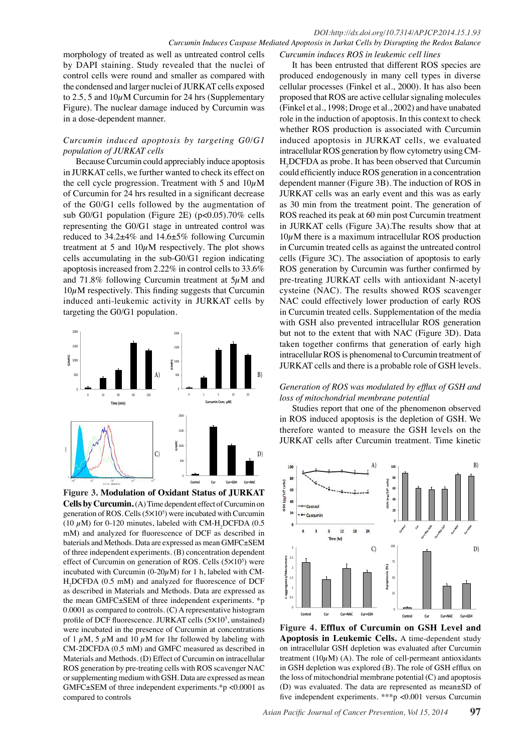## *DOI:http://dx.doi.org/10.7314/APJCP.2014.15.1.93 Curcumin Induces Caspase Mediated Apoptosis in Jurkat Cells by Disrupting the Redox Balance*

morphology of treated as well as untreated control cells by DAPI staining. Study revealed that the nuclei of control cells were round and smaller as compared with the condensed and larger nuclei of JURKAT cells exposed to 2.5, 5 and  $10\mu$ M Curcumin for 24 hrs (Supplementary Figure). The nuclear damage induced by Curcumin was in a dose-dependent manner.

# *Curcumin induced apoptosis by targeting G0/G1 population of JURKAT cells*

 Because Curcumin could appreciably induce apoptosis in JURKAT cells, we further wanted to check its effect on the cell cycle progression. Treatment with 5 and  $10 \mu M$ of Curcumin for 24 hrs resulted in a significant decrease of the G0/G1 cells followed by the augmentation of sub G0/G1 population (Figure 2E) ( $p<0.05$ ).70% cells representing the G0/G1 stage in untreated control was reduced to 34.2±4% and 14.6±5% following Curcumin treatment at 5 and  $10\mu$ M respectively. The plot shows cells accumulating in the sub-G0/G1 region indicating apoptosis increased from 2.22% in control cells to 33.6% and 71.8% following Curcumin treatment at  $5\mu$ M and  $10\mu$ M respectively. This finding suggests that Curcumin induced anti-leukemic activity in JURKAT cells by targeting the G0/G1 population.



**Figure 3. Modulation of Oxidant Status of JURKAT Cells by Curcumin.** (A) Time dependent effect of Curcumin on generation of ROS. Cells  $(5 \times 10^5)$  were incubated with Curcumin (10  $\mu$ M) for 0-120 minutes, labeled with CM-H<sub>2</sub>DCFDA (0.5) mM) and analyzed for fluorescence of DCF as described in baterials and Methods. Data are expressed as mean GMFC±SEM of three independent experiments. (B) concentration dependent effect of Curcumin on generation of ROS. Cells  $(5 \times 10^5)$  were incubated with Curcumin (0-20 $\mu$ M) for 1 h, labeled with CM-H<sub>2</sub>DCFDA (0.5 mM) and analyzed for fluorescence of DCF as described in Materials and Methods. Data are expressed as the mean GMFC±SEM of three independent experiments. \*p 0.0001 as compared to controls. (C) A representative histogram profile of DCF fluorescence. JURKAT cells (5×10<sup>5</sup>, unstained) were incubated in the presence of Curcumin at concentrations of 1  $\mu$ M, 5  $\mu$ M and 10  $\mu$ M for 1hr followed by labeling with CM-2DCFDA (0.5 mM) and GMFC measured as described in Materials and Methods. (D) Effect of Curcumin on intracellular ROS generation by pre-treating cells with ROS scavenger NAC or supplementing medium with GSH. Data are expressed as mean GMFC±SEM of three independent experiments.\*p <0.0001 as compared to controls

*Curcumin induces ROS in leukemic cell lines*

 It has been entrusted that different ROS species are produced endogenously in many cell types in diverse cellular processes (Finkel et al., 2000). It has also been proposed that ROS are active cellular signaling molecules (Finkel et al., 1998; Droge et al., 2002) and have unabated role in the induction of apoptosis. In this context to check whether ROS production is associated with Curcumin induced apoptosis in JURKAT cells, we evaluated intracellular ROS generation by flow cytometry using CM-H2DCFDA as probe. It has been observed that Curcumin could efficiently induce ROS generation in a concentration dependent manner (Figure 3B). The induction of ROS in JURKAT cells was an early event and this was as early as 30 min from the treatment point. The generation of ROS reached its peak at 60 min post Curcumin treatment in JURKAT cells (Figure 3A).The results show that at  $10\mu$ M there is a maximum intracellular ROS production in Curcumin treated cells as against the untreated control cells (Figure 3C). The association of apoptosis to early ROS generation by Curcumin was further confirmed by pre-treating JURKAT cells with antioxidant N-acetyl cysteine (NAC). The results showed ROS scavenger NAC could effectively lower production of early ROS in Curcumin treated cells. Supplementation of the media with GSH also prevented intracellular ROS generation but not to the extent that with NAC (Figure 3D). Data taken together confirms that generation of early high intracellular ROS is phenomenal to Curcumin treatment of JURKAT cells and there is a probable role of GSH levels.

## *Generation of ROS was modulated by efflux of GSH and loss of mitochondrial membrane potential*

 Studies report that one of the phenomenon observed in ROS induced apoptosis is the depletion of GSH. We therefore wanted to measure the GSH levels on the JURKAT cells after Curcumin treatment. Time kinetic



**Figure 4. Efflux of Curcumin on GSH Level and Apoptosis in Leukemic Cells.** A time-dependent study on intracellular GSH depletion was evaluated after Curcumin treatment  $(10\mu M)$  (A). The role of cell-permeant antioxidants in GSH depletion was explored (B). The role of GSH efflux on the loss of mitochondrial membrane potential (C) and apoptosis (D) was evaluated. The data are represented as mean±SD of five independent experiments. \*\*\*p <0.001 versus Curcumin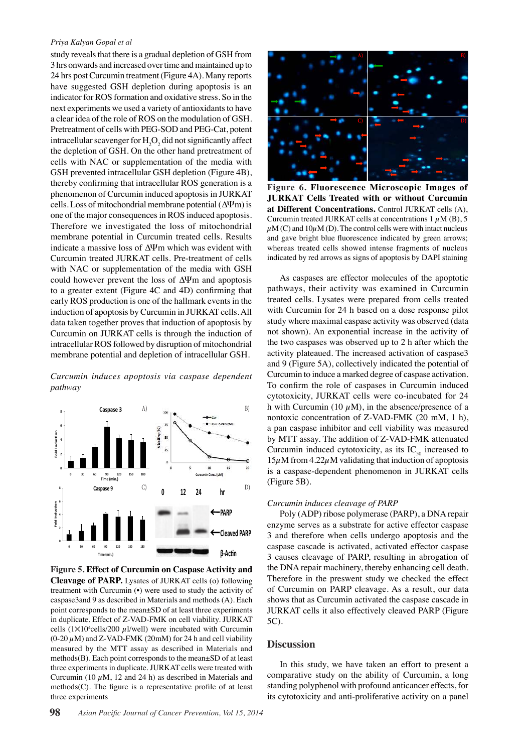study reveals that there is a gradual depletion of GSH from 3 hrs onwards and increased over time and maintained up to 24 hrs post Curcumin treatment (Figure 4A). Many reports have suggested GSH depletion during apoptosis is an indicator for ROS formation and oxidative stress. So in the next experiments we used a variety of antioxidants to have a clear idea of the role of ROS on the modulation of GSH. Pretreatment of cells with PEG-SOD and PEG-Cat, potent intracellular scavenger for  $H_2O_2$  did not significantly affect the depletion of GSH. On the other hand pretreatment of cells with NAC or supplementation of the media with GSH prevented intracellular GSH depletion (Figure 4B), thereby confirming that intracellular ROS generation is a phenomenon of Curcumin induced apoptosis in JURKAT cells. Loss of mitochondrial membrane potential (∆Ψm) is one of the major consequences in ROS induced apoptosis. Therefore we investigated the loss of mitochondrial membrane potential in Curcumin treated cells. Results indicate a massive loss of ∆Ψm which was evident with Curcumin treated JURKAT cells. Pre-treatment of cells with NAC or supplementation of the media with GSH could however prevent the loss of ∆Ψm and apoptosis to a greater extent (Figure 4C and 4D) confirming that early ROS production is one of the hallmark events in the induction of apoptosis by Curcumin in JURKAT cells. All data taken together proves that induction of apoptosis by Curcumin on JURKAT cells is through the induction of intracellular ROS followed by disruption of mitochondrial membrane potential and depletion of intracellular GSH.

*Curcumin induces apoptosis via caspase dependent pathway*



**Figure 5. Effect of Curcumin on Caspase Activity and Cleavage of PARP.** Lysates of JURKAT cells (o) following treatment with Curcumin (•) were used to study the activity of caspase3and 9 as described in Materials and methods (A). Each point corresponds to the mean±SD of at least three experiments in duplicate. Effect of Z-VAD-FMK on cell viability. JURKAT cells (1 $\times$ 10<sup>4</sup>cells/200  $\mu$ 1/well) were incubated with Curcumin  $(0-20 \,\mu M)$  and Z-VAD-FMK (20mM) for 24 h and cell viability measured by the MTT assay as described in Materials and methods(B). Each point corresponds to the mean±SD of at least three experiments in duplicate. JURKAT cells were treated with Curcumin (10  $\mu$ M, 12 and 24 h) as described in Materials and methods(C). The figure is a representative profile of at least three experiments



 As caspases are effector molecules of the apoptotic pathways, their activity was examined in Curcumin treated cells. Lysates were prepared from cells treated with Curcumin for 24 h based on a dose response pilot study where maximal caspase activity was observed (data not shown). An exponential increase in the activity of the two caspases was observed up to 2 h after which the activity plateaued. The increased activation of caspase3 and 9 (Figure 5A), collectively indicated the potential of Curcumin to induce a marked degree of caspase activation. To confirm the role of caspases in Curcumin induced cytotoxicity, JURKAT cells were co-incubated for 24 h with Curcumin (10  $\mu$ M), in the absence/presence of a nontoxic concentration of Z-VAD-FMK (20 mM, 1 h), a pan caspase inhibitor and cell viability was measured by MTT assay. The addition of Z-VAD-FMK attenuated Curcumin induced cytotoxicity, as its  $IC_{50}$  increased to  $15\mu$ M from  $4.22\mu$ M validating that induction of apoptosis is a caspase-dependent phenomenon in JURKAT cells (Figure 5B).

 **C) D)**

## *Curcumin induces cleavage of PARP*

 Poly (ADP) ribose polymerase (PARP), a DNA repair enzyme serves as a substrate for active effector caspase 3 and therefore when cells undergo apoptosis and the caspase cascade is activated, activated effector caspase 3 causes cleavage of PARP, resulting in abrogation of the DNA repair machinery, thereby enhancing cell death. Therefore in the preswent study we checked the effect of Curcumin on PARP cleavage. As a result, our data shows that as Curcumin activated the caspase cascade in JURKAT cells it also effectively cleaved PARP (Figure 5C).

## **Discussion**

In this study, we have taken an effort to present a comparative study on the ability of Curcumin, a long standing polyphenol with profound anticancer effects, for its cytotoxicity and anti-proliferative activity on a panel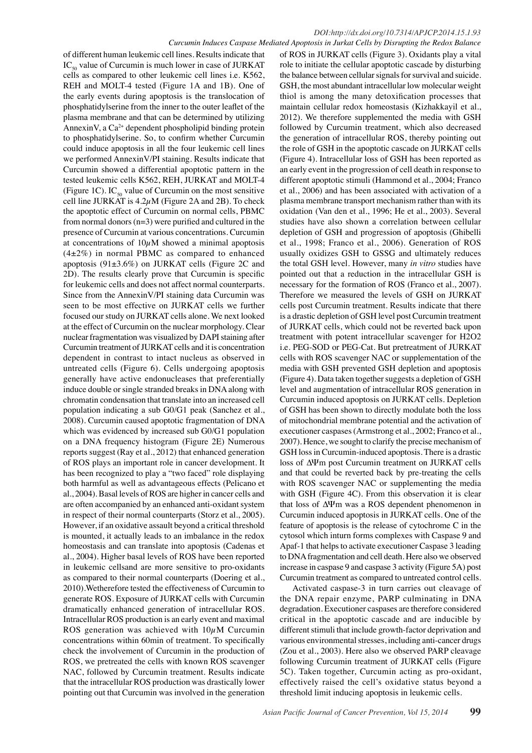of different human leukemic cell lines. Results indicate that  $IC_{50}$  value of Curcumin is much lower in case of JURKAT cells as compared to other leukemic cell lines i.e. K562, REH and MOLT-4 tested (Figure 1A and 1B). One of the early events during apoptosis is the translocation of phosphatidylserine from the inner to the outer leaflet of the plasma membrane and that can be determined by utilizing AnnexinV, a  $Ca^{2+}$  dependent phospholipid binding protein to phosphatidylserine. So, to confirm whether Curcumin could induce apoptosis in all the four leukemic cell lines we performed AnnexinV/PI staining. Results indicate that Curcumin showed a differential apoptotic pattern in the tested leukemic cells K562, REH, JURKAT and MOLT-4 (Figure 1C). IC<sub>50</sub> value of Curcumin on the most sensitive cell line JURKAT is  $4.2\mu$ M (Figure 2A and 2B). To check the apoptotic effect of Curcumin on normal cells, PBMC from normal donors (n=3) were purified and cultured in the presence of Curcumin at various concentrations. Curcumin at concentrations of  $10\mu$ M showed a minimal apoptosis  $(4\pm2\%)$  in normal PBMC as compared to enhanced apoptosis (91±3.6%) on JURKAT cells (Figure 2C and 2D). The results clearly prove that Curcumin is specific for leukemic cells and does not affect normal counterparts. Since from the AnnexinV/PI staining data Curcumin was seen to be most effective on JURKAT cells we further focused our study on JURKAT cells alone. We next looked at the effect of Curcumin on the nuclear morphology. Clear nuclear fragmentation was visualized by DAPI staining after Curcumin treatment of JURKAT cells and it is concentration dependent in contrast to intact nucleus as observed in untreated cells (Figure 6). Cells undergoing apoptosis generally have active endonucleases that preferentially induce double or single stranded breaks in DNA along with chromatin condensation that translate into an increased cell population indicating a sub G0/G1 peak (Sanchez et al., 2008). Curcumin caused apoptotic fragmentation of DNA which was evidenced by increased sub G0/G1 population on a DNA frequency histogram (Figure 2E) Numerous reports suggest (Ray et al., 2012) that enhanced generation of ROS plays an important role in cancer development. It has been recognized to play a "two faced" role displaying both harmful as well as advantageous effects (Pelicano et al., 2004). Basal levels of ROS are higher in cancer cells and are often accompanied by an enhanced anti-oxidant system in respect of their normal counterparts (Storz et al., 2005). However, if an oxidative assault beyond a critical threshold is mounted, it actually leads to an imbalance in the redox homeostasis and can translate into apoptosis (Cadenas et al., 2004). Higher basal levels of ROS have been reported in leukemic cellsand are more sensitive to pro-oxidants as compared to their normal counterparts (Doering et al., 2010).Wetherefore tested the effectiveness of Curcumin to generate ROS. Exposure of JURKAT cells with Curcumin dramatically enhanced generation of intracellular ROS. Intracellular ROS production is an early event and maximal ROS generation was achieved with  $10\mu$ M Curcumin concentrations within 60min of treatment. To specifically check the involvement of Curcumin in the production of ROS, we pretreated the cells with known ROS scavenger NAC, followed by Curcumin treatment. Results indicate that the intracellular ROS production was drastically lower pointing out that Curcumin was involved in the generation

of ROS in JURKAT cells (Figure 3). Oxidants play a vital role to initiate the cellular apoptotic cascade by disturbing the balance between cellular signals for survival and suicide. GSH, the most abundant intracellular low molecular weight thiol is among the many detoxification processes that maintain cellular redox homeostasis (Kizhakkayil et al., 2012). We therefore supplemented the media with GSH followed by Curcumin treatment, which also decreased the generation of intracellular ROS, thereby pointing out the role of GSH in the apoptotic cascade on JURKAT cells (Figure 4). Intracellular loss of GSH has been reported as an early event in the progression of cell death in response to different apoptotic stimuli (Hammond et al., 2004; Franco et al., 2006) and has been associated with activation of a plasma membrane transport mechanism rather than with its oxidation (Van den et al., 1996; He et al., 2003). Several studies have also shown a correlation between cellular depletion of GSH and progression of apoptosis (Ghibelli et al., 1998; Franco et al., 2006). Generation of ROS usually oxidizes GSH to GSSG and ultimately reduces the total GSH level. However, many *in vitro* studies have pointed out that a reduction in the intracellular GSH is necessary for the formation of ROS (Franco et al., 2007). Therefore we measured the levels of GSH on JURKAT cells post Curcumin treatment. Results indicate that there is a drastic depletion of GSH level post Curcumin treatment of JURKAT cells, which could not be reverted back upon treatment with potent intracellular scavenger for H2O2 i.e. PEG-SOD or PEG-Cat. But pretreatment of JURKAT cells with ROS scavenger NAC or supplementation of the media with GSH prevented GSH depletion and apoptosis (Figure 4). Data taken together suggests a depletion of GSH level and augmentation of intracellular ROS generation in Curcumin induced apoptosis on JURKAT cells. Depletion of GSH has been shown to directly modulate both the loss of mitochondrial membrane potential and the activation of executioner caspases (Armstrong et al., 2002; Franco et al., 2007). Hence, we sought to clarify the precise mechanism of GSH loss in Curcumin-induced apoptosis. There is a drastic loss of ∆Ψm post Curcumin treatment on JURKAT cells and that could be reverted back by pre-treating the cells with ROS scavenger NAC or supplementing the media with GSH (Figure 4C). From this observation it is clear that loss of ∆Ψm was a ROS dependent phenomenon in Curcumin induced apoptosis in JURKAT cells. One of the feature of apoptosis is the release of cytochrome C in the cytosol which inturn forms complexes with Caspase 9 and Apaf-1 that helps to activate executioner Caspase 3 leading to DNA fragmentation and cell death. Here also we observed increase in caspase 9 and caspase 3 activity (Figure 5A) post Curcumin treatment as compared to untreated control cells.

Activated caspase-3 in turn carries out cleavage of the DNA repair enzyme, PARP culminating in DNA degradation. Executioner caspases are therefore considered critical in the apoptotic cascade and are inducible by different stimuli that include growth-factor deprivation and various environmental stresses, including anti-cancer drugs (Zou et al., 2003). Here also we observed PARP cleavage following Curcumin treatment of JURKAT cells (Figure 5C). Taken together, Curcumin acting as pro-oxidant, effectively raised the cell's oxidative status beyond a threshold limit inducing apoptosis in leukemic cells.